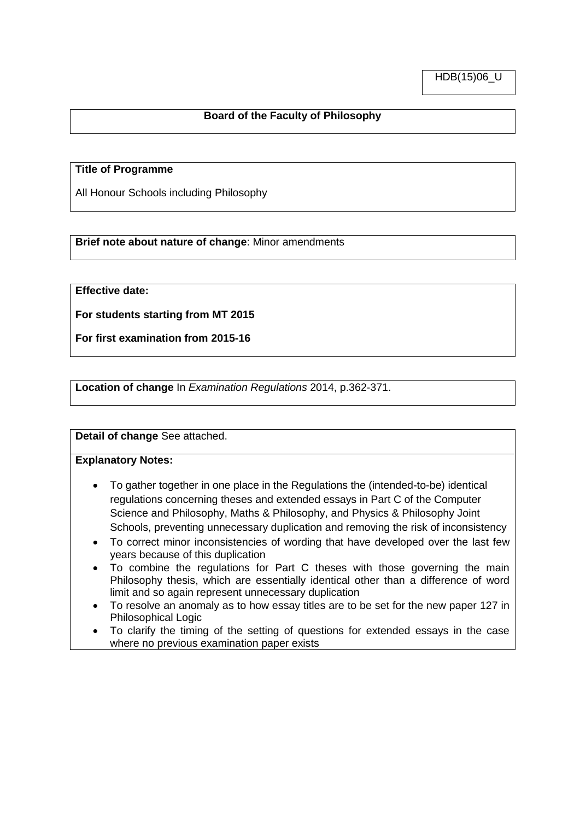# **Board of the Faculty of Philosophy**

## **Title of Programme**

All Honour Schools including Philosophy

**Brief note about nature of change**: Minor amendments

## **Effective date:**

**For students starting from MT 2015**

**For first examination from 2015-16**

**Location of change** In *Examination Regulations* 2014, p.362-371.

# **Detail of change** See attached.

## **Explanatory Notes:**

- To gather together in one place in the Regulations the (intended-to-be) identical regulations concerning theses and extended essays in Part C of the Computer Science and Philosophy, Maths & Philosophy, and Physics & Philosophy Joint Schools, preventing unnecessary duplication and removing the risk of inconsistency
- To correct minor inconsistencies of wording that have developed over the last few years because of this duplication
- To combine the regulations for Part C theses with those governing the main Philosophy thesis, which are essentially identical other than a difference of word limit and so again represent unnecessary duplication
- To resolve an anomaly as to how essay titles are to be set for the new paper 127 in Philosophical Logic
- To clarify the timing of the setting of questions for extended essays in the case where no previous examination paper exists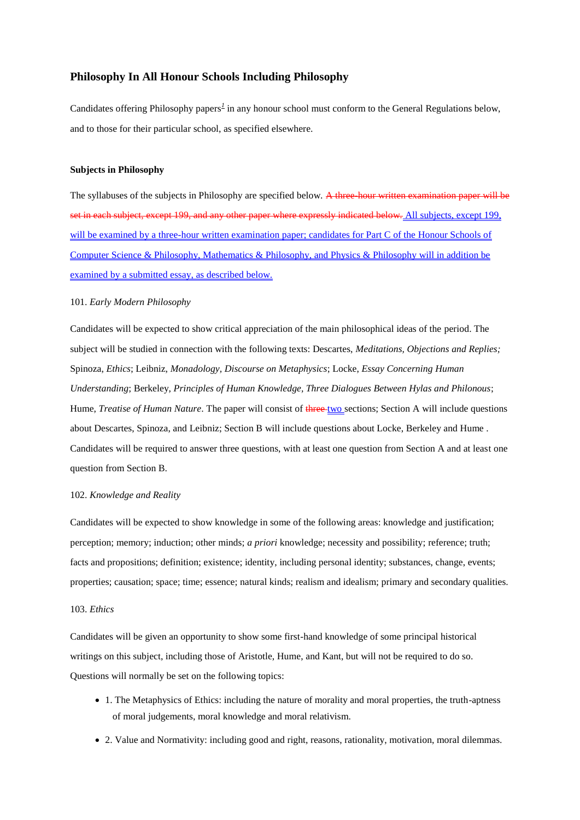## **Philosophy In All Honour Schools Including Philosophy**

Candidate[s](http://www1.admin.ox.ac.uk/examregs/2014-15/piahsinclphil/administratorview/#d.en.175783) offering Philosophy papers<sup>1</sup> in any honour school must conform to the General Regulations below, and to those for their particular school, as specified elsewhere.

## **Subjects in Philosophy**

The syllabuses of the subjects in Philosophy are specified below. A three-hour written examination paper will be set in each subject, except 199, and any other paper where expressly indicated below. All subjects, except 199, will be examined by a three-hour written examination paper; candidates for Part C of the Honour Schools of Computer Science & Philosophy, Mathematics & Philosophy, and Physics & Philosophy will in addition be examined by a submitted essay, as described below.

#### 101. *Early Modern Philosophy*

Candidates will be expected to show critical appreciation of the main philosophical ideas of the period. The subject will be studied in connection with the following texts: Descartes, *Meditations, Objections and Replies;* Spinoza, *Ethics*; Leibniz, *Monadology, Discourse on Metaphysics*; Locke, *Essay Concerning Human Understanding*; Berkeley, *Principles of Human Knowledge, Three Dialogues Between Hylas and Philonous*; Hume, *Treatise of Human Nature*. The paper will consist of three two sections; Section A will include questions about Descartes, Spinoza, and Leibniz; Section B will include questions about Locke, Berkeley and Hume . Candidates will be required to answer three questions, with at least one question from Section A and at least one question from Section B.

## 102. *Knowledge and Reality*

Candidates will be expected to show knowledge in some of the following areas: knowledge and justification; perception; memory; induction; other minds; *a priori* knowledge; necessity and possibility; reference; truth; facts and propositions; definition; existence; identity, including personal identity; substances, change, events; properties; causation; space; time; essence; natural kinds; realism and idealism; primary and secondary qualities.

#### 103. *Ethics*

Candidates will be given an opportunity to show some first-hand knowledge of some principal historical writings on this subject, including those of Aristotle, Hume, and Kant, but will not be required to do so. Questions will normally be set on the following topics:

- 1. The Metaphysics of Ethics: including the nature of morality and moral properties, the truth-aptness of moral judgements, moral knowledge and moral relativism.
- 2. Value and Normativity: including good and right, reasons, rationality, motivation, moral dilemmas.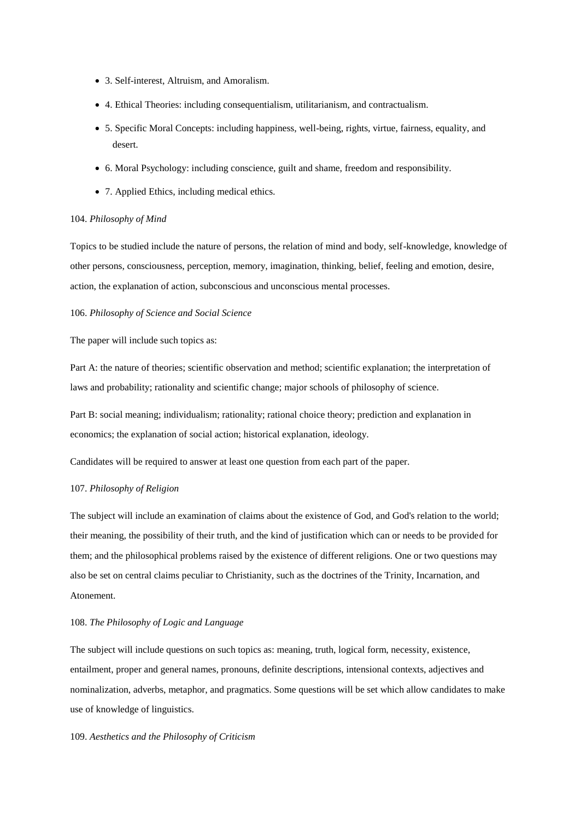- 3. Self-interest, Altruism, and Amoralism.
- 4. Ethical Theories: including consequentialism, utilitarianism, and contractualism.
- 5. Specific Moral Concepts: including happiness, well-being, rights, virtue, fairness, equality, and desert.
- 6. Moral Psychology: including conscience, guilt and shame, freedom and responsibility.
- 7. Applied Ethics, including medical ethics.

## 104. *Philosophy of Mind*

Topics to be studied include the nature of persons, the relation of mind and body, self-knowledge, knowledge of other persons, consciousness, perception, memory, imagination, thinking, belief, feeling and emotion, desire, action, the explanation of action, subconscious and unconscious mental processes.

## 106. *Philosophy of Science and Social Science*

The paper will include such topics as:

Part A: the nature of theories; scientific observation and method; scientific explanation; the interpretation of laws and probability; rationality and scientific change; major schools of philosophy of science.

Part B: social meaning; individualism; rationality; rational choice theory; prediction and explanation in economics; the explanation of social action; historical explanation, ideology.

Candidates will be required to answer at least one question from each part of the paper.

## 107. *Philosophy of Religion*

The subject will include an examination of claims about the existence of God, and God's relation to the world; their meaning, the possibility of their truth, and the kind of justification which can or needs to be provided for them; and the philosophical problems raised by the existence of different religions. One or two questions may also be set on central claims peculiar to Christianity, such as the doctrines of the Trinity, Incarnation, and Atonement.

### 108. *The Philosophy of Logic and Language*

The subject will include questions on such topics as: meaning, truth, logical form, necessity, existence, entailment, proper and general names, pronouns, definite descriptions, intensional contexts, adjectives and nominalization, adverbs, metaphor, and pragmatics. Some questions will be set which allow candidates to make use of knowledge of linguistics.

#### 109. *Aesthetics and the Philosophy of Criticism*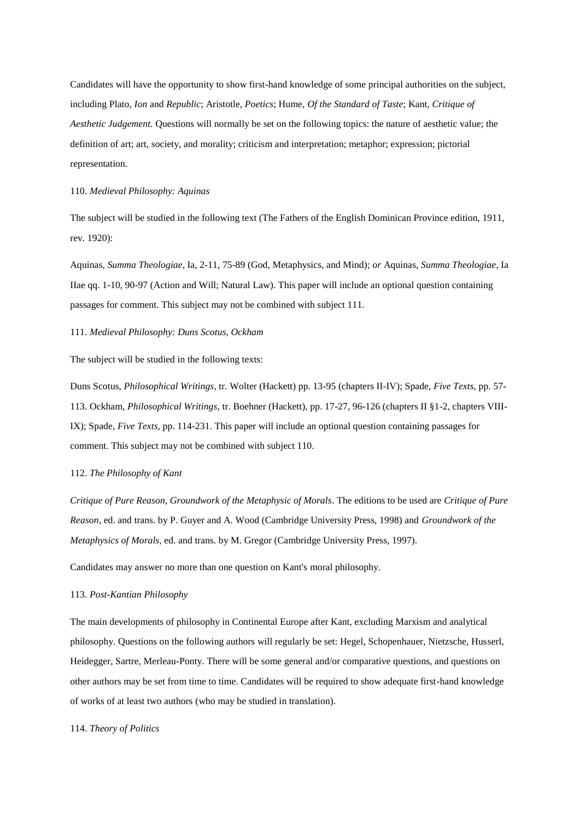Candidates will have the opportunity to show first-hand knowledge of some principal authorities on the subject, including Plato, *Ion* and *Republic*; Aristotle, *Poetics*; Hume, *Of the Standard of Taste*; Kant, *Critique of Aesthetic Judgement.* Questions will normally be set on the following topics: the nature of aesthetic value; the definition of art; art, society, and morality; criticism and interpretation; metaphor; expression; pictorial representation.

#### 110. *Medieval Philosophy: Aquinas*

The subject will be studied in the following text (The Fathers of the English Dominican Province edition, 1911, rev. 1920):

Aquinas, *Summa Theologiae*, Ia, 2-11, 75-89 (God, Metaphysics, and Mind); *or* Aquinas, *Summa Theologiae*, Ia IIae qq. 1-10, 90-97 (Action and Will; Natural Law). This paper will include an optional question containing passages for comment. This subject may not be combined with subject 111.

111. *Medieval Philosophy: Duns Scotus, Ockham*

The subject will be studied in the following texts:

Duns Scotus, *Philosophical Writings*, tr. Wolter (Hackett) pp. 13-95 (chapters II-IV); Spade, *Five Texts*, pp. 57- 113. Ockham, *Philosophical Writings*, tr. Boehner (Hackett), pp. 17-27, 96-126 (chapters II §1-2, chapters VIII-IX); Spade, *Five Texts*, pp. 114-231. This paper will include an optional question containing passages for comment. This subject may not be combined with subject 110.

## 112. *The Philosophy of Kant*

*Critique of Pure Reason, Groundwork of the Metaphysic of Morals*. The editions to be used are *Critique of Pure Reason*, ed. and trans. by P. Guyer and A. Wood (Cambridge University Press, 1998) and *Groundwork of the Metaphysics of Morals*, ed. and trans. by M. Gregor (Cambridge University Press, 1997).

Candidates may answer no more than one question on Kant's moral philosophy.

### 113. *Post-Kantian Philosophy*

The main developments of philosophy in Continental Europe after Kant, excluding Marxism and analytical philosophy. Questions on the following authors will regularly be set: Hegel, Schopenhauer, Nietzsche, Husserl, Heidegger, Sartre, Merleau-Ponty. There will be some general and/or comparative questions, and questions on other authors may be set from time to time. Candidates will be required to show adequate first-hand knowledge of works of at least two authors (who may be studied in translation).

#### 114. *Theory of Politics*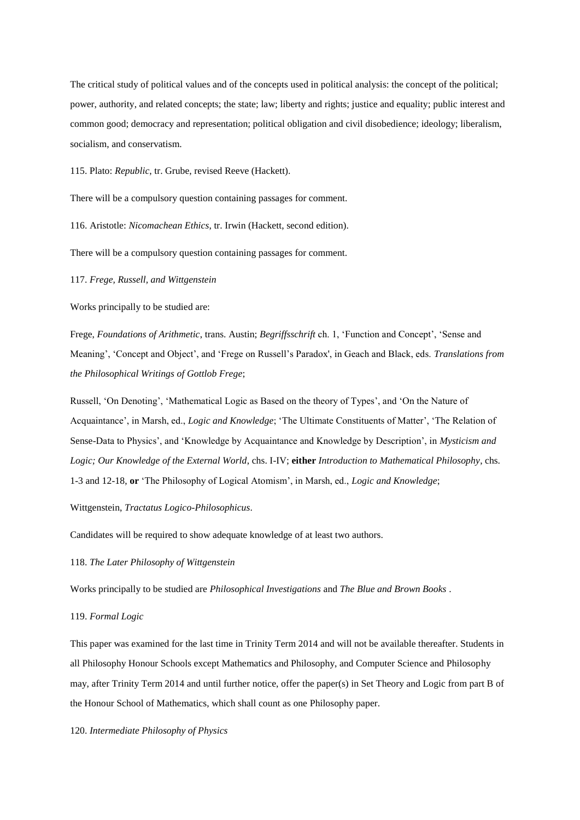The critical study of political values and of the concepts used in political analysis: the concept of the political; power, authority, and related concepts; the state; law; liberty and rights; justice and equality; public interest and common good; democracy and representation; political obligation and civil disobedience; ideology; liberalism, socialism, and conservatism.

115. Plato: *Republic*, tr. Grube, revised Reeve (Hackett).

There will be a compulsory question containing passages for comment.

116. Aristotle: *Nicomachean Ethics*, tr. Irwin (Hackett, second edition).

There will be a compulsory question containing passages for comment.

117. *Frege, Russell, and Wittgenstein*

Works principally to be studied are:

Frege, *Foundations of Arithmetic*, trans. Austin; *Begriffsschrift* ch. 1, 'Function and Concept', 'Sense and Meaning', 'Concept and Object', and 'Frege on Russell's Paradox', in Geach and Black, eds. *Translations from the Philosophical Writings of Gottlob Frege*;

Russell, 'On Denoting', 'Mathematical Logic as Based on the theory of Types', and 'On the Nature of Acquaintance', in Marsh, ed., *Logic and Knowledge*; 'The Ultimate Constituents of Matter', 'The Relation of Sense-Data to Physics', and 'Knowledge by Acquaintance and Knowledge by Description', in *Mysticism and Logic; Our Knowledge of the External World*, chs. I-IV; **either** *Introduction to Mathematical Philosophy*, chs. 1-3 and 12-18, **or** 'The Philosophy of Logical Atomism', in Marsh, ed., *Logic and Knowledge*;

Wittgenstein, *Tractatus Logico-Philosophicus*.

Candidates will be required to show adequate knowledge of at least two authors.

118. *The Later Philosophy of Wittgenstein*

Works principally to be studied are *Philosophical Investigations* and *The Blue and Brown Books* .

119. *Formal Logic*

This paper was examined for the last time in Trinity Term 2014 and will not be available thereafter. Students in all Philosophy Honour Schools except Mathematics and Philosophy, and Computer Science and Philosophy may, after Trinity Term 2014 and until further notice, offer the paper(s) in Set Theory and Logic from part B of the Honour School of Mathematics, which shall count as one Philosophy paper.

120. *Intermediate Philosophy of Physics*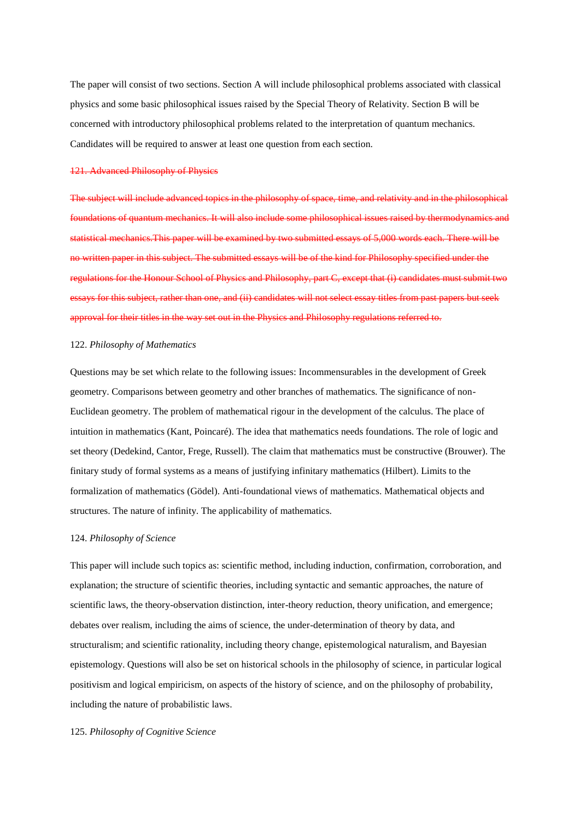The paper will consist of two sections. Section A will include philosophical problems associated with classical physics and some basic philosophical issues raised by the Special Theory of Relativity. Section B will be concerned with introductory philosophical problems related to the interpretation of quantum mechanics. Candidates will be required to answer at least one question from each section.

### 121. Advanced Philosophy of Physics

The subject will include advanced topics in the philosophy of space, time, and relativity and in the philosophical foundations of quantum mechanics. It will also include some philosophical issues raised by thermodynamics and statistical mechanics.This paper will be examined by two submitted essays of 5,000 words each. There will be no written paper in this subject. The submitted essays will be of the kind for Philosophy specified under the regulations for the Honour School of Physics and Philosophy, part C, except that (i) candidates must submit two essays for this subject, rather than one, and (ii) candidates will not select essay titles from past papers but seek approval for their titles in the way set out in the Physics and Philosophy regulations referred to.

#### 122. *Philosophy of Mathematics*

Questions may be set which relate to the following issues: Incommensurables in the development of Greek geometry. Comparisons between geometry and other branches of mathematics. The significance of non-Euclidean geometry. The problem of mathematical rigour in the development of the calculus. The place of intuition in mathematics (Kant, Poincaré). The idea that mathematics needs foundations. The role of logic and set theory (Dedekind, Cantor, Frege, Russell). The claim that mathematics must be constructive (Brouwer). The finitary study of formal systems as a means of justifying infinitary mathematics (Hilbert). Limits to the formalization of mathematics (Gödel). Anti-foundational views of mathematics. Mathematical objects and structures. The nature of infinity. The applicability of mathematics.

#### 124. *Philosophy of Science*

This paper will include such topics as: scientific method, including induction, confirmation, corroboration, and explanation; the structure of scientific theories, including syntactic and semantic approaches, the nature of scientific laws, the theory-observation distinction, inter-theory reduction, theory unification, and emergence; debates over realism, including the aims of science, the under-determination of theory by data, and structuralism; and scientific rationality, including theory change, epistemological naturalism, and Bayesian epistemology. Questions will also be set on historical schools in the philosophy of science, in particular logical positivism and logical empiricism, on aspects of the history of science, and on the philosophy of probability, including the nature of probabilistic laws.

#### 125. *Philosophy of Cognitive Science*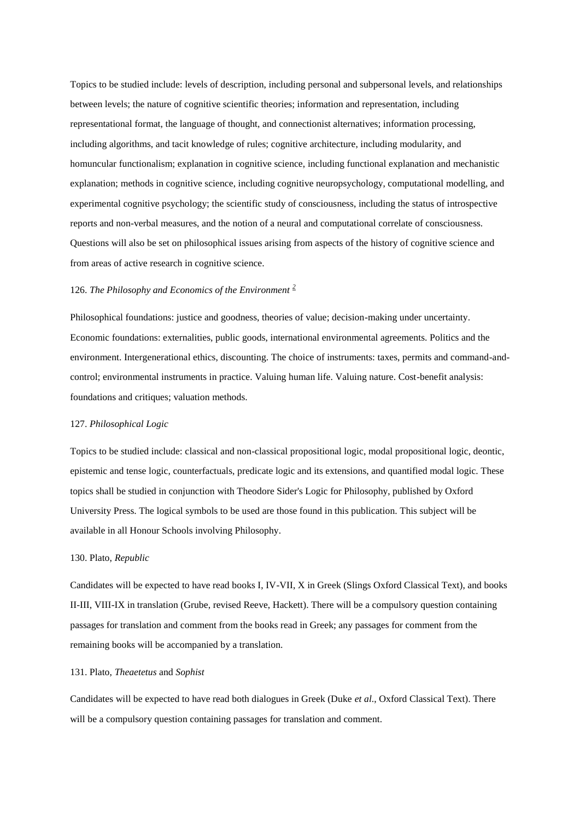Topics to be studied include: levels of description, including personal and subpersonal levels, and relationships between levels; the nature of cognitive scientific theories; information and representation, including representational format, the language of thought, and connectionist alternatives; information processing, including algorithms, and tacit knowledge of rules; cognitive architecture, including modularity, and homuncular functionalism; explanation in cognitive science, including functional explanation and mechanistic explanation; methods in cognitive science, including cognitive neuropsychology, computational modelling, and experimental cognitive psychology; the scientific study of consciousness, including the status of introspective reports and non-verbal measures, and the notion of a neural and computational correlate of consciousness. Questions will also be set on philosophical issues arising from aspects of the history of cognitive science and from areas of active research in cognitive science.

#### 126. *The Philosophy and Economics of the Environment [2](http://www1.admin.ox.ac.uk/examregs/2014-15/piahsinclphil/administratorview/#d.en.175784)*

Philosophical foundations: justice and goodness, theories of value; decision-making under uncertainty. Economic foundations: externalities, public goods, international environmental agreements. Politics and the environment. Intergenerational ethics, discounting. The choice of instruments: taxes, permits and command-andcontrol; environmental instruments in practice. Valuing human life. Valuing nature. Cost-benefit analysis: foundations and critiques; valuation methods.

## 127. *Philosophical Logic*

Topics to be studied include: classical and non-classical propositional logic, modal propositional logic, deontic, epistemic and tense logic, counterfactuals, predicate logic and its extensions, and quantified modal logic. These topics shall be studied in conjunction with Theodore Sider's Logic for Philosophy, published by Oxford University Press. The logical symbols to be used are those found in this publication. This subject will be available in all Honour Schools involving Philosophy.

## 130. Plato, *Republic*

Candidates will be expected to have read books I, IV-VII, X in Greek (Slings Oxford Classical Text), and books II-III, VIII-IX in translation (Grube, revised Reeve, Hackett). There will be a compulsory question containing passages for translation and comment from the books read in Greek; any passages for comment from the remaining books will be accompanied by a translation.

#### 131. Plato, *Theaetetus* and *Sophist*

Candidates will be expected to have read both dialogues in Greek (Duke *et al*., Oxford Classical Text). There will be a compulsory question containing passages for translation and comment.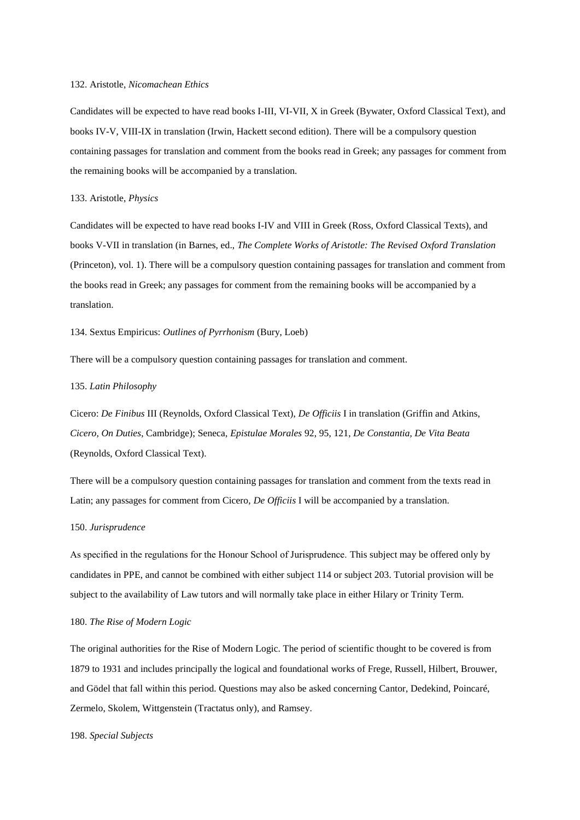#### 132. Aristotle, *Nicomachean Ethics*

Candidates will be expected to have read books I-III, VI-VII, X in Greek (Bywater, Oxford Classical Text), and books IV-V, VIII-IX in translation (Irwin, Hackett second edition). There will be a compulsory question containing passages for translation and comment from the books read in Greek; any passages for comment from the remaining books will be accompanied by a translation.

#### 133. Aristotle, *Physics*

Candidates will be expected to have read books I-IV and VIII in Greek (Ross, Oxford Classical Texts), and books V-VII in translation (in Barnes, ed., *The Complete Works of Aristotle: The Revised Oxford Translation* (Princeton), vol. 1). There will be a compulsory question containing passages for translation and comment from the books read in Greek; any passages for comment from the remaining books will be accompanied by a translation.

#### 134. Sextus Empiricus: *Outlines of Pyrrhonism* (Bury, Loeb)

There will be a compulsory question containing passages for translation and comment.

#### 135. *Latin Philosophy*

Cicero: *De Finibus* III (Reynolds, Oxford Classical Text), *De Officiis* I in translation (Griffin and Atkins, *Cicero, On Duties*, Cambridge); Seneca, *Epistulae Morales* 92, 95, 121, *De Constantia, De Vita Beata* (Reynolds, Oxford Classical Text).

There will be a compulsory question containing passages for translation and comment from the texts read in Latin; any passages for comment from Cicero, *De Officiis* I will be accompanied by a translation.

## 150. *Jurisprudence*

As specified in the regulations for the Honour School of Jurisprudence. This subject may be offered only by candidates in PPE, and cannot be combined with either subject 114 or subject 203. Tutorial provision will be subject to the availability of Law tutors and will normally take place in either Hilary or Trinity Term.

#### 180. *The Rise of Modern Logic*

The original authorities for the Rise of Modern Logic. The period of scientific thought to be covered is from 1879 to 1931 and includes principally the logical and foundational works of Frege, Russell, Hilbert, Brouwer, and Gödel that fall within this period. Questions may also be asked concerning Cantor, Dedekind, Poincaré, Zermelo, Skolem, Wittgenstein (Tractatus only), and Ramsey.

#### 198. *Special Subjects*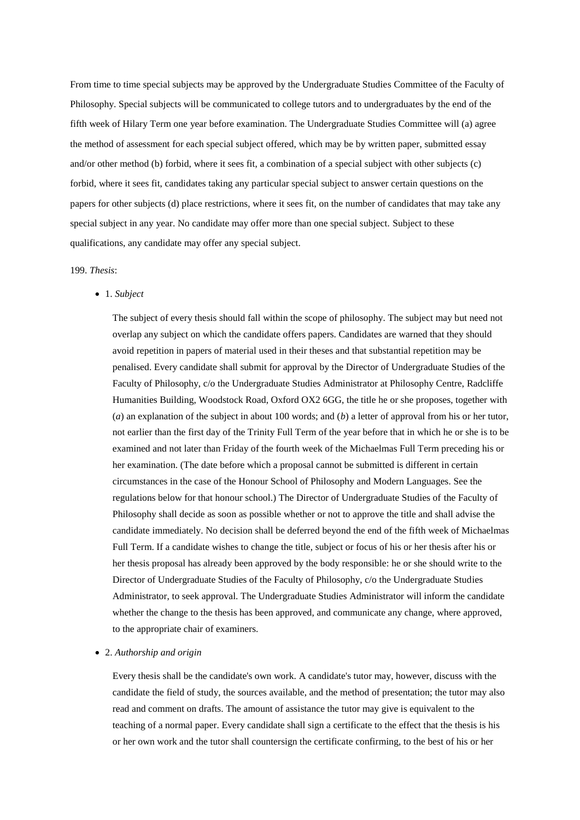From time to time special subjects may be approved by the Undergraduate Studies Committee of the Faculty of Philosophy. Special subjects will be communicated to college tutors and to undergraduates by the end of the fifth week of Hilary Term one year before examination. The Undergraduate Studies Committee will (a) agree the method of assessment for each special subject offered, which may be by written paper, submitted essay and/or other method (b) forbid, where it sees fit, a combination of a special subject with other subjects (c) forbid, where it sees fit, candidates taking any particular special subject to answer certain questions on the papers for other subjects (d) place restrictions, where it sees fit, on the number of candidates that may take any special subject in any year. No candidate may offer more than one special subject. Subject to these qualifications, any candidate may offer any special subject.

#### 199. *Thesis*:

1. *Subject*

The subject of every thesis should fall within the scope of philosophy. The subject may but need not overlap any subject on which the candidate offers papers. Candidates are warned that they should avoid repetition in papers of material used in their theses and that substantial repetition may be penalised. Every candidate shall submit for approval by the Director of Undergraduate Studies of the Faculty of Philosophy, c/o the Undergraduate Studies Administrator at Philosophy Centre, Radcliffe Humanities Building, Woodstock Road, Oxford OX2 6GG, the title he or she proposes, together with (*a*) an explanation of the subject in about 100 words; and (*b*) a letter of approval from his or her tutor, not earlier than the first day of the Trinity Full Term of the year before that in which he or she is to be examined and not later than Friday of the fourth week of the Michaelmas Full Term preceding his or her examination. (The date before which a proposal cannot be submitted is different in certain circumstances in the case of the Honour School of Philosophy and Modern Languages. See the regulations below for that honour school.) The Director of Undergraduate Studies of the Faculty of Philosophy shall decide as soon as possible whether or not to approve the title and shall advise the candidate immediately. No decision shall be deferred beyond the end of the fifth week of Michaelmas Full Term. If a candidate wishes to change the title, subject or focus of his or her thesis after his or her thesis proposal has already been approved by the body responsible: he or she should write to the Director of Undergraduate Studies of the Faculty of Philosophy, c/o the Undergraduate Studies Administrator, to seek approval. The Undergraduate Studies Administrator will inform the candidate whether the change to the thesis has been approved, and communicate any change, where approved, to the appropriate chair of examiners.

#### 2. *Authorship and origin*

Every thesis shall be the candidate's own work. A candidate's tutor may, however, discuss with the candidate the field of study, the sources available, and the method of presentation; the tutor may also read and comment on drafts. The amount of assistance the tutor may give is equivalent to the teaching of a normal paper. Every candidate shall sign a certificate to the effect that the thesis is his or her own work and the tutor shall countersign the certificate confirming, to the best of his or her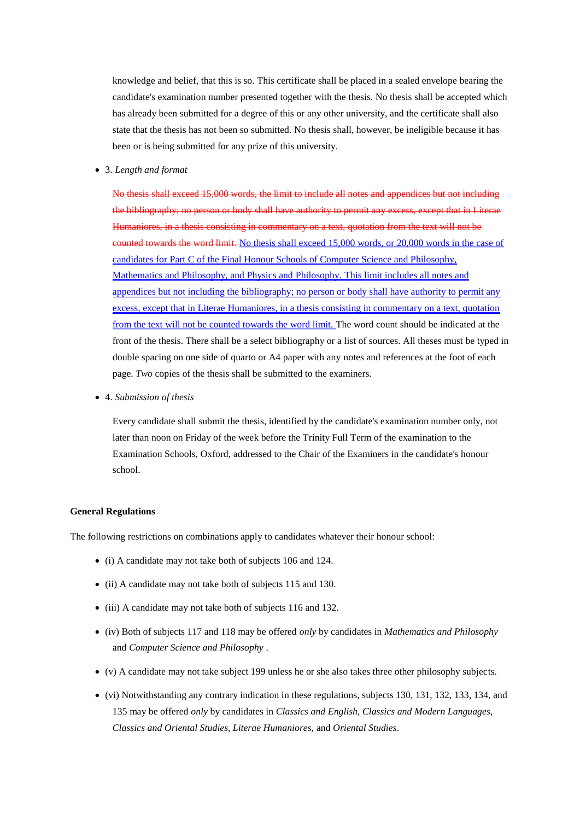knowledge and belief, that this is so. This certificate shall be placed in a sealed envelope bearing the candidate's examination number presented together with the thesis. No thesis shall be accepted which has already been submitted for a degree of this or any other university, and the certificate shall also state that the thesis has not been so submitted. No thesis shall, however, be ineligible because it has been or is being submitted for any prize of this university.

3. *Length and format*

No thesis shall exceed 15,000 words, the limit to include all notes and appendices but not including the bibliography; no person or body shall have authority to permit any excess, except that in Literae Humaniores, in a thesis consisting in commentary on a text, quotation from the text will not be counted towards the word limit. No thesis shall exceed 15,000 words, or 20,000 words in the case of candidates for Part C of the Final Honour Schools of Computer Science and Philosophy, Mathematics and Philosophy, and Physics and Philosophy. This limit includes all notes and appendices but not including the bibliography; no person or body shall have authority to permit any excess, except that in Literae Humaniores, in a thesis consisting in commentary on a text, quotation from the text will not be counted towards the word limit. The word count should be indicated at the front of the thesis. There shall be a select bibliography or a list of sources. All theses must be typed in double spacing on one side of quarto or A4 paper with any notes and references at the foot of each page. *Two* copies of the thesis shall be submitted to the examiners.

4. *Submission of thesis*

Every candidate shall submit the thesis, identified by the candidate's examination number only, not later than noon on Friday of the week before the Trinity Full Term of the examination to the Examination Schools, Oxford, addressed to the Chair of the Examiners in the candidate's honour school.

### **General Regulations**

The following restrictions on combinations apply to candidates whatever their honour school:

- (i) A candidate may not take both of subjects 106 and 124.
- (ii) A candidate may not take both of subjects 115 and 130.
- (iii) A candidate may not take both of subjects 116 and 132.
- (iv) Both of subjects 117 and 118 may be offered *only* by candidates in *Mathematics and Philosophy* and *Computer Science and Philosophy* .
- (v) A candidate may not take subject 199 unless he or she also takes three other philosophy subjects.
- (vi) Notwithstanding any contrary indication in these regulations, subjects 130, 131, 132, 133, 134, and 135 may be offered *only* by candidates in *Classics and English, Classics and Modern Languages, Classics and Oriental Studies, Literae Humaniores,* and *Oriental Studies*.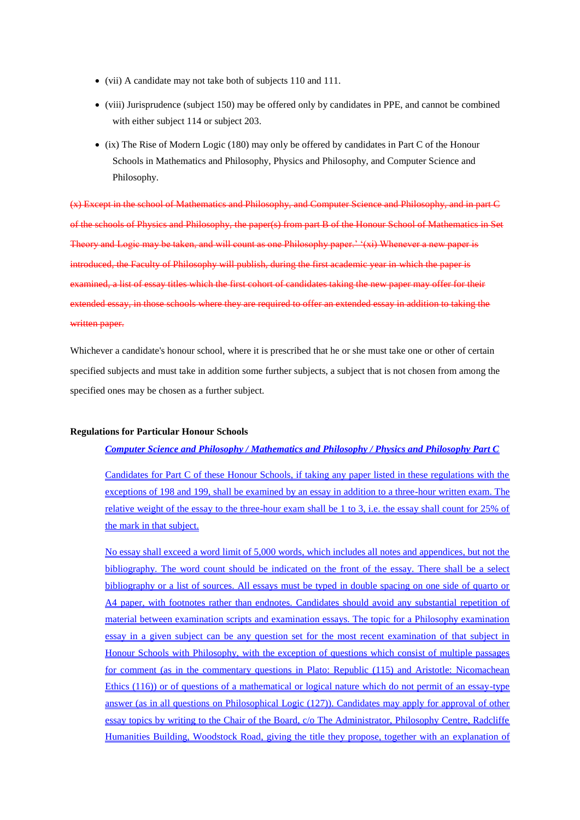- (vii) A candidate may not take both of subjects 110 and 111.
- (viii) Jurisprudence (subject 150) may be offered only by candidates in PPE, and cannot be combined with either subject 114 or subject 203.
- (ix) The Rise of Modern Logic (180) may only be offered by candidates in Part C of the Honour Schools in Mathematics and Philosophy, Physics and Philosophy, and Computer Science and Philosophy.

(x) Except in the school of Mathematics and Philosophy, and Computer Science and Philosophy, and in part C of the schools of Physics and Philosophy, the paper(s) from part B of the Honour School of Mathematics in Set Theory and Logic may be taken, and will count as one Philosophy paper.' '(xi) Whenever a new paper is introduced, the Faculty of Philosophy will publish, during the first academic year in which the paper is examined, a list of essay titles which the first cohort of candidates taking the new paper may offer for their extended essay, in those schools where they are required to offer an extended essay in addition to taking the written paper.

Whichever a candidate's honour school, where it is prescribed that he or she must take one or other of certain specified subjects and must take in addition some further subjects, a subject that is not chosen from among the specified ones may be chosen as a further subject.

## **Regulations for Particular Honour Schools**

#### *Computer Science and Philosophy / Mathematics and Philosophy / Physics and Philosophy Part C*

Candidates for Part C of these Honour Schools, if taking any paper listed in these regulations with the exceptions of 198 and 199, shall be examined by an essay in addition to a three-hour written exam. The relative weight of the essay to the three-hour exam shall be 1 to 3, i.e. the essay shall count for 25% of the mark in that subject.

No essay shall exceed a word limit of 5,000 words, which includes all notes and appendices, but not the bibliography. The word count should be indicated on the front of the essay. There shall be a select bibliography or a list of sources. All essays must be typed in double spacing on one side of quarto or A4 paper, with footnotes rather than endnotes. Candidates should avoid any substantial repetition of material between examination scripts and examination essays. The topic for a Philosophy examination essay in a given subject can be any question set for the most recent examination of that subject in Honour Schools with Philosophy, with the exception of questions which consist of multiple passages for comment (as in the commentary questions in Plato: Republic (115) and Aristotle: Nicomachean Ethics (116)) or of questions of a mathematical or logical nature which do not permit of an essay-type answer (as in all questions on Philosophical Logic (127)). Candidates may apply for approval of other essay topics by writing to the Chair of the Board, c/o The Administrator, Philosophy Centre, Radcliffe Humanities Building, Woodstock Road, giving the title they propose, together with an explanation of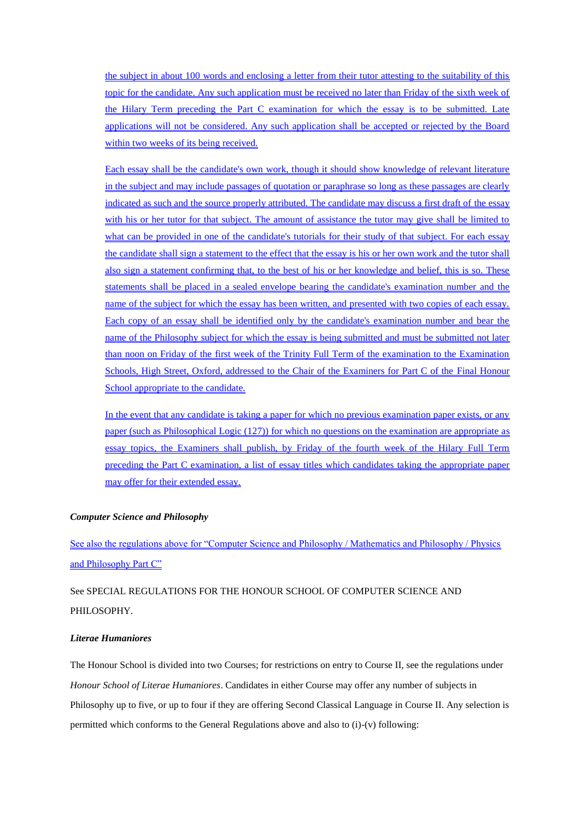the subject in about 100 words and enclosing a letter from their tutor attesting to the suitability of this topic for the candidate. Any such application must be received no later than Friday of the sixth week of the Hilary Term preceding the Part C examination for which the essay is to be submitted. Late applications will not be considered. Any such application shall be accepted or rejected by the Board within two weeks of its being received.

Each essay shall be the candidate's own work, though it should show knowledge of relevant literature in the subject and may include passages of quotation or paraphrase so long as these passages are clearly indicated as such and the source properly attributed. The candidate may discuss a first draft of the essay with his or her tutor for that subject. The amount of assistance the tutor may give shall be limited to what can be provided in one of the candidate's tutorials for their study of that subject. For each essay the candidate shall sign a statement to the effect that the essay is his or her own work and the tutor shall also sign a statement confirming that, to the best of his or her knowledge and belief, this is so. These statements shall be placed in a sealed envelope bearing the candidate's examination number and the name of the subject for which the essay has been written, and presented with two copies of each essay. Each copy of an essay shall be identified only by the candidate's examination number and bear the name of the Philosophy subject for which the essay is being submitted and must be submitted not later than noon on Friday of the first week of the Trinity Full Term of the examination to the Examination Schools, High Street, Oxford, addressed to the Chair of the Examiners for Part C of the Final Honour School appropriate to the candidate.

In the event that any candidate is taking a paper for which no previous examination paper exists, or any paper (such as Philosophical Logic (127)) for which no questions on the examination are appropriate as essay topics, the Examiners shall publish, by Friday of the fourth week of the Hilary Full Term preceding the Part C examination, a list of essay titles which candidates taking the appropriate paper may offer for their extended essay.

## *Computer Science and Philosophy*

See also the regulations above for "Computer Science and Philosophy / Mathematics and Philosophy / Physics and Philosophy Part C"

See SPECIAL REGULATIONS FOR THE HONOUR SCHOOL OF COMPUTER SCIENCE AND PHILOSOPHY.

#### *Literae Humaniores*

The Honour School is divided into two Courses; for restrictions on entry to Course II, see the regulations under *Honour School of Literae Humaniores*. Candidates in either Course may offer any number of subjects in Philosophy up to five, or up to four if they are offering Second Classical Language in Course II. Any selection is permitted which conforms to the General Regulations above and also to (i)-(v) following: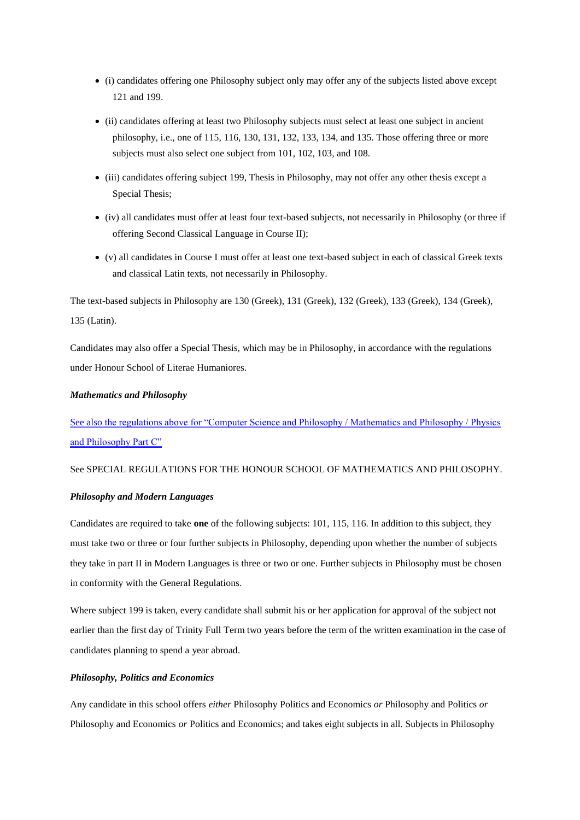- (i) candidates offering one Philosophy subject only may offer any of the subjects listed above except 121 and 199.
- (ii) candidates offering at least two Philosophy subjects must select at least one subject in ancient philosophy, i.e., one of 115, 116, 130, 131, 132, 133, 134, and 135. Those offering three or more subjects must also select one subject from 101, 102, 103, and 108.
- (iii) candidates offering subject 199, Thesis in Philosophy, may not offer any other thesis except a Special Thesis;
- (iv) all candidates must offer at least four text-based subjects, not necessarily in Philosophy (or three if offering Second Classical Language in Course II);
- (v) all candidates in Course I must offer at least one text-based subject in each of classical Greek texts and classical Latin texts, not necessarily in Philosophy.

The text-based subjects in Philosophy are 130 (Greek), 131 (Greek), 132 (Greek), 133 (Greek), 134 (Greek), 135 (Latin).

Candidates may also offer a Special Thesis, which may be in Philosophy, in accordance with the regulations under Honour School of Literae Humaniores.

## *Mathematics and Philosophy*

See also the regulations above for "Computer Science and Philosophy / Mathematics and Philosophy / Physics and Philosophy Part C"

See SPECIAL REGULATIONS FOR THE HONOUR SCHOOL OF MATHEMATICS AND PHILOSOPHY.

## *Philosophy and Modern Languages*

Candidates are required to take **one** of the following subjects: 101, 115, 116. In addition to this subject, they must take two or three or four further subjects in Philosophy, depending upon whether the number of subjects they take in part II in Modern Languages is three or two or one. Further subjects in Philosophy must be chosen in conformity with the General Regulations.

Where subject 199 is taken, every candidate shall submit his or her application for approval of the subject not earlier than the first day of Trinity Full Term two years before the term of the written examination in the case of candidates planning to spend a year abroad.

#### *Philosophy, Politics and Economics*

Any candidate in this school offers *either* Philosophy Politics and Economics *or* Philosophy and Politics *or* Philosophy and Economics *or* Politics and Economics; and takes eight subjects in all. Subjects in Philosophy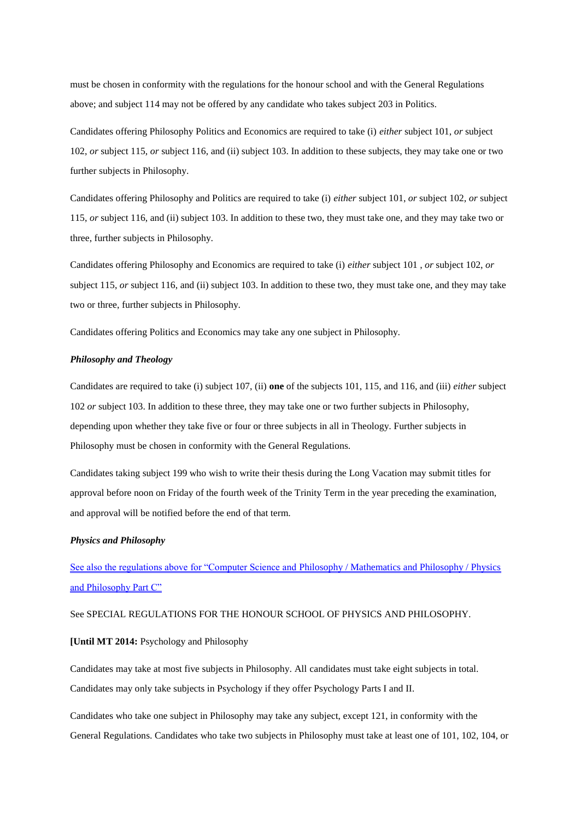must be chosen in conformity with the regulations for the honour school and with the General Regulations above; and subject 114 may not be offered by any candidate who takes subject 203 in Politics.

Candidates offering Philosophy Politics and Economics are required to take (i) *either* subject 101, *or* subject 102, *or* subject 115, *or* subject 116, and (ii) subject 103. In addition to these subjects, they may take one or two further subjects in Philosophy.

Candidates offering Philosophy and Politics are required to take (i) *either* subject 101, *or* subject 102, *or* subject 115, *or* subject 116, and (ii) subject 103. In addition to these two, they must take one, and they may take two or three, further subjects in Philosophy.

Candidates offering Philosophy and Economics are required to take (i) *either* subject 101 , *or* subject 102, *or* subject 115, *or* subject 116, and (ii) subject 103. In addition to these two, they must take one, and they may take two or three, further subjects in Philosophy.

Candidates offering Politics and Economics may take any one subject in Philosophy.

### *Philosophy and Theology*

Candidates are required to take (i) subject 107, (ii) **one** of the subjects 101, 115, and 116, and (iii) *either* subject 102 *or* subject 103. In addition to these three, they may take one or two further subjects in Philosophy, depending upon whether they take five or four or three subjects in all in Theology. Further subjects in Philosophy must be chosen in conformity with the General Regulations.

Candidates taking subject 199 who wish to write their thesis during the Long Vacation may submit titles for approval before noon on Friday of the fourth week of the Trinity Term in the year preceding the examination, and approval will be notified before the end of that term.

### *Physics and Philosophy*

See also the regulations above for "Computer Science and Philosophy / Mathematics and Philosophy / Physics and Philosophy Part C"

## See SPECIAL REGULATIONS FOR THE HONOUR SCHOOL OF PHYSICS AND PHILOSOPHY.

#### **[Until MT 2014:** Psychology and Philosophy

Candidates may take at most five subjects in Philosophy. All candidates must take eight subjects in total. Candidates may only take subjects in Psychology if they offer Psychology Parts I and II.

Candidates who take one subject in Philosophy may take any subject, except 121, in conformity with the General Regulations. Candidates who take two subjects in Philosophy must take at least one of 101, 102, 104, or